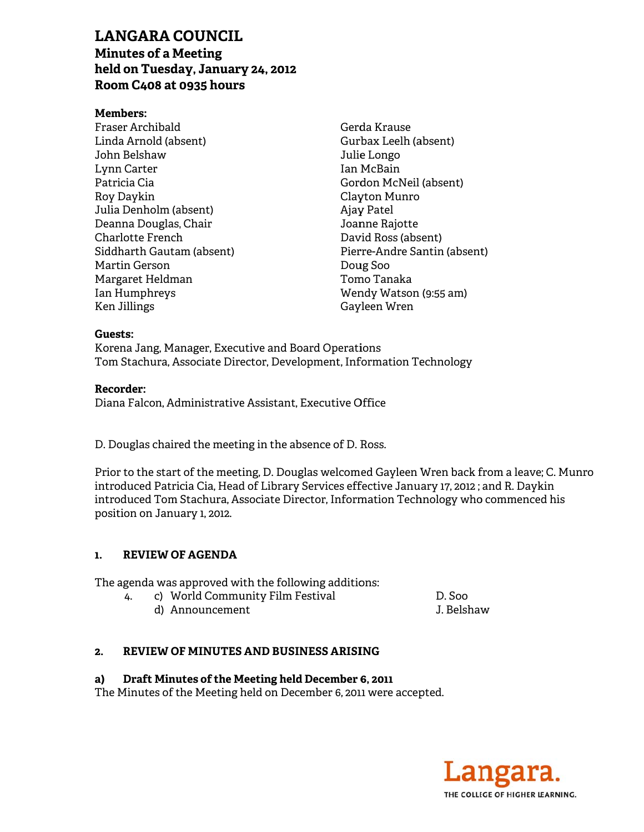# **LAN NGARA C COUNCIL**

**Minu utes of a M Meeting**  LANGARA COUNCIL<br>Minutes of a Meeting<br>held on Tuesday, January 24, 2012 **Room m C408 at 0 0935 hours s**

#### **Mem mbers:**

Fraser Archibald Linda a Arnold (ab sent) John Belshaw Lynn n Carter Patri cia Cia Roy D Daykin Julia Denholm (a absent) Deanna Douglas, Chair Char lotte French Charlotte French<br>Siddharth Gautam (absent) Mart in Gerson Marg garet Heldma an Ian H Humphreys Ken J Jillings

Gerd da Krause Gurb bax Leelh (a absent) Julie Longo Ian M McBain Gord don McNeil (absent) Clay yton Munro Ajay Patel Joanne Rajotte David Ross (absent) Pierre-Andre Santin (absent) Dou ug Soo Tom mo Tanaka Wen ndy Watson (9:55 am) Gay yleen Wren

#### **Guests:**

Korena Jang, Manager, Executive and Board Operations Tom Stachura, Associate Director, Development, Information Technology

## **Reco rder:**

Diana Falcon, Administrative Assistant, Executive Office

D. Douglas chaired the meeting in the absence of D. Ross.

Prior to the start of the meeting, D. Douglas welcomed Gayleen Wren back from a leave introduced Patricia Cia, Head of Library Services effective January 17, 2012 ; and R. Daykin introduced Tom Stachura, Associate Director, Information Technology who commenced his posit ion on Janu ary 1, 2012. from a leave; C. Munro<br>and R. Daykin<br>, commenced his<br>,<br>w

#### **1. REVIEW OF F AGENDA**

The agenda was approved with the following additions:

- 4. c) W World Commu unity Film F Festival
	- d) Announcement

D. Soo J. Belshaw

#### **2. REVIEW OF F MINUTES S AND BUSIN NESS ARISI ING**

#### **a)**  Draft Minutes of the Meeting held December 6, 2011

The Minutes of the Meeting held on December 6, 2011 were accepted.

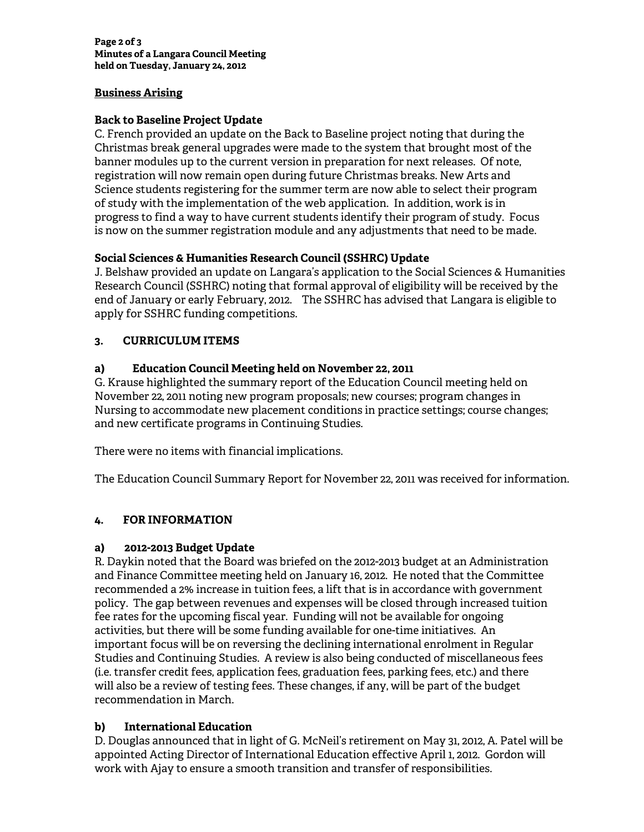**Page 2 of 3 Minutes of a Langara Council Meeting held on Tuesday, January 24, 2012** 

# **Business Arising**

# **Back to Baseline Project Update**

C. French provided an update on the Back to Baseline project noting that during the Christmas break general upgrades were made to the system that brought most of the banner modules up to the current version in preparation for next releases. Of note, registration will now remain open during future Christmas breaks. New Arts and Science students registering for the summer term are now able to select their program of study with the implementation of the web application. In addition, work is in progress to find a way to have current students identify their program of study. Focus is now on the summer registration module and any adjustments that need to be made.

# **Social Sciences & Humanities Research Council (SSHRC) Update**

J. Belshaw provided an update on Langara's application to the Social Sciences & Humanities Research Council (SSHRC) noting that formal approval of eligibility will be received by the end of January or early February, 2012. The SSHRC has advised that Langara is eligible to apply for SSHRC funding competitions.

# **3. CURRICULUM ITEMS**

# **a) Education Council Meeting held on November 22, 2011**

G. Krause highlighted the summary report of the Education Council meeting held on November 22, 2011 noting new program proposals; new courses; program changes in Nursing to accommodate new placement conditions in practice settings; course changes; and new certificate programs in Continuing Studies.

There were no items with financial implications.

The Education Council Summary Report for November 22, 2011 was received for information.

## **4. FOR INFORMATION**

## **a) 2012-2013 Budget Update**

R. Daykin noted that the Board was briefed on the 2012-2013 budget at an Administration and Finance Committee meeting held on January 16, 2012. He noted that the Committee recommended a 2% increase in tuition fees, a lift that is in accordance with government policy. The gap between revenues and expenses will be closed through increased tuition fee rates for the upcoming fiscal year. Funding will not be available for ongoing activities, but there will be some funding available for one-time initiatives. An important focus will be on reversing the declining international enrolment in Regular Studies and Continuing Studies. A review is also being conducted of miscellaneous fees (i.e. transfer credit fees, application fees, graduation fees, parking fees, etc.) and there will also be a review of testing fees. These changes, if any, will be part of the budget recommendation in March.

## **b) International Education**

D. Douglas announced that in light of G. McNeil's retirement on May 31, 2012, A. Patel will be appointed Acting Director of International Education effective April 1, 2012. Gordon will work with Ajay to ensure a smooth transition and transfer of responsibilities.